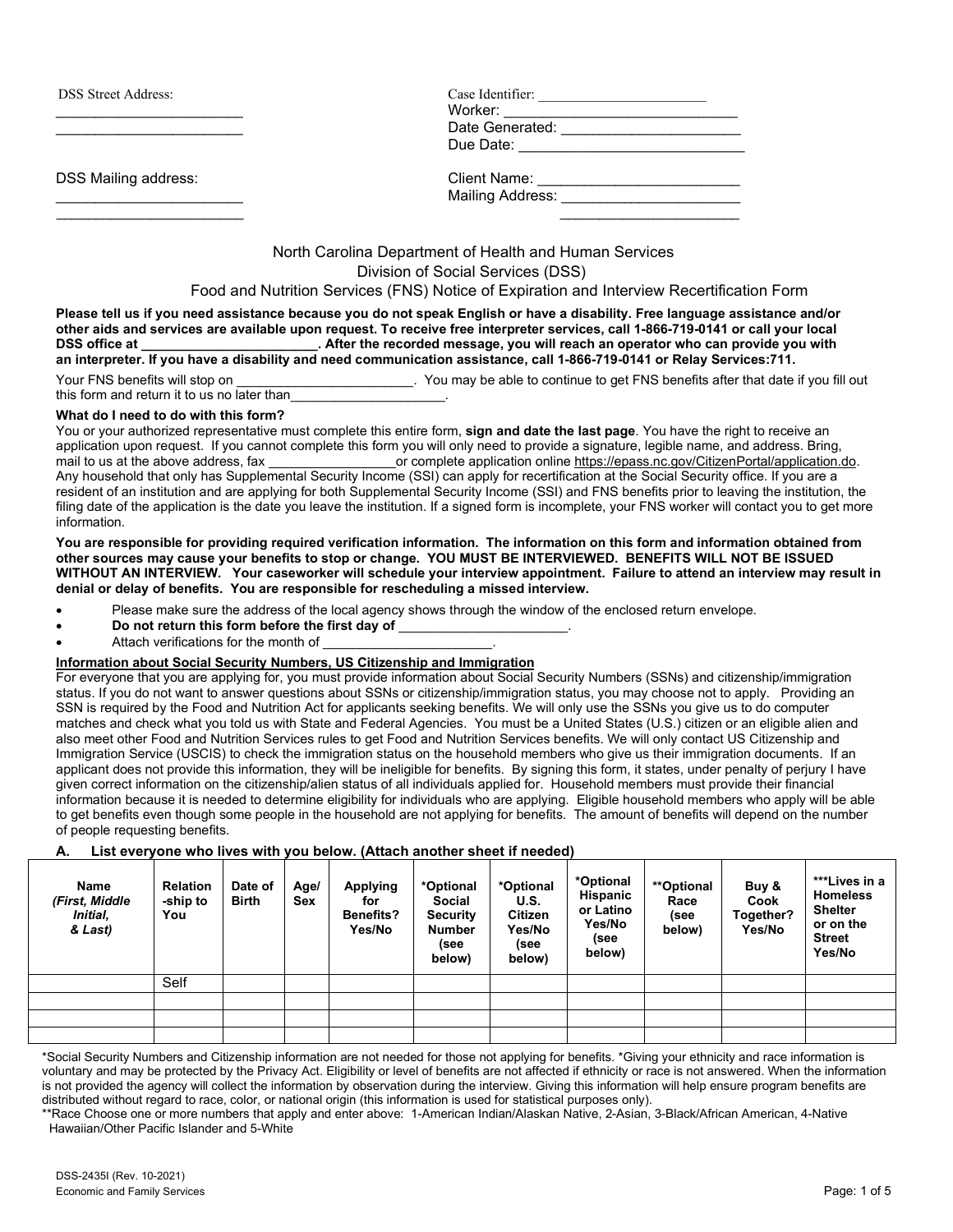DSS Street Address:

DSS Mailing address:

| <b>DSS Street Address:</b> | Case Identifier: |
|----------------------------|------------------|
|                            | Worker:          |
|                            | Date Generated:  |
|                            | Due Date:        |
|                            |                  |
| -----<br>.                 |                  |

| DSS Malling address. | Gilent Name:            |  |
|----------------------|-------------------------|--|
|                      | <b>Mailing Address:</b> |  |
|                      |                         |  |

North Carolina Department of Health and Human Services Division of Social Services (DSS)

## Food and Nutrition Services (FNS) Notice of Expiration and Interview Recertification Form

**Please tell us if you need assistance because you do not speak English or have a disability. Free language assistance and/or other aids and services are available upon request. To receive free interpreter services, call 1-866-719-0141 or call your local**  . After the recorded message, you will reach an operator who can provide you with **an interpreter. If you have a disability and need communication assistance, call 1-866-719-0141 or Relay Services:711.**

Your FNS benefits will stop on \_\_\_\_\_\_\_\_\_\_\_\_\_\_\_\_\_\_\_\_\_\_\_\_\_\_\_. You may be able to continue to get FNS benefits after that date if you fill out this form and return it to us no later than

### **What do I need to do with this form?**

You or your authorized representative must complete this entire form, **sign and date the last page**. You have the right to receive an application upon request. If you cannot complete this form you will only need to provide a signature, legible name, and address. Bring, or complete application online [https://epass.nc.gov/CitizenPortal/application.do.](https://epass.nc.gov/CitizenPortal/application.do) Any household that only has Supplemental Security Income (SSI) can apply for recertification at the Social Security office. If you are a resident of an institution and are applying for both Supplemental Security Income (SSI) and FNS benefits prior to leaving the institution, the filing date of the application is the date you leave the institution. If a signed form is incomplete, your FNS worker will contact you to get more information.

**You are responsible for providing required verification information. The information on this form and information obtained from other sources may cause your benefits to stop or change. YOU MUST BE INTERVIEWED. BENEFITS WILL NOT BE ISSUED WITHOUT AN INTERVIEW. Your caseworker will schedule your interview appointment. Failure to attend an interview may result in denial or delay of benefits. You are responsible for rescheduling a missed interview.**

- Please make sure the address of the local agency shows through the window of the enclosed return envelope.
- **Do not return this form before the first day of** \_\_\_\_\_\_\_\_\_\_\_\_\_\_\_\_\_\_\_\_\_\_\_.
- Attach verifications for the month of

### **Information about Social Security Numbers, US Citizenship and Immigration**

For everyone that you are applying for, you must provide information about Social Security Numbers (SSNs) and citizenship/immigration status. If you do not want to answer questions about SSNs or citizenship/immigration status, you may choose not to apply. Providing an SSN is required by the Food and Nutrition Act for applicants seeking benefits. We will only use the SSNs you give us to do computer matches and check what you told us with State and Federal Agencies. You must be a United States (U.S.) citizen or an eligible alien and also meet other Food and Nutrition Services rules to get Food and Nutrition Services benefits. We will only contact US Citizenship and Immigration Service (USCIS) to check the immigration status on the household members who give us their immigration documents. If an applicant does not provide this information, they will be ineligible for benefits. By signing this form, it states, under penalty of perjury I have given correct information on the citizenship/alien status of all individuals applied for. Household members must provide their financial information because it is needed to determine eligibility for individuals who are applying. Eligible household members who apply will be able to get benefits even though some people in the household are not applying for benefits. The amount of benefits will depend on the number of people requesting benefits.

## **A. List everyone who lives with you below. (Attach another sheet if needed)**

| <b>Name</b><br>(First, Middle<br>Initial,<br>& Last) | <b>Relation</b><br>-ship to<br>You | Date of<br><b>Birth</b> | Age/<br>Sex | <b>Applying</b><br>for<br><b>Benefits?</b><br>Yes/No | *Optional<br><b>Social</b><br><b>Security</b><br><b>Number</b><br>(see<br>below) | *Optional<br>U.S.<br>Citizen<br>Yes/No<br>(see<br>below) | *Optional<br><b>Hispanic</b><br>or Latino<br>Yes/No<br>(see<br>below) | **Optional<br>Race<br>(see<br>below) | Buy &<br>Cook<br>Together?<br>Yes/No | ***Lives in a<br><b>Homeless</b><br><b>Shelter</b><br>or on the<br><b>Street</b><br>Yes/No |
|------------------------------------------------------|------------------------------------|-------------------------|-------------|------------------------------------------------------|----------------------------------------------------------------------------------|----------------------------------------------------------|-----------------------------------------------------------------------|--------------------------------------|--------------------------------------|--------------------------------------------------------------------------------------------|
|                                                      | Self                               |                         |             |                                                      |                                                                                  |                                                          |                                                                       |                                      |                                      |                                                                                            |
|                                                      |                                    |                         |             |                                                      |                                                                                  |                                                          |                                                                       |                                      |                                      |                                                                                            |
|                                                      |                                    |                         |             |                                                      |                                                                                  |                                                          |                                                                       |                                      |                                      |                                                                                            |
|                                                      |                                    |                         |             |                                                      |                                                                                  |                                                          |                                                                       |                                      |                                      |                                                                                            |

\*Social Security Numbers and Citizenship information are not needed for those not applying for benefits. \*Giving your ethnicity and race information is voluntary and may be protected by the Privacy Act. Eligibility or level of benefits are not affected if ethnicity or race is not answered. When the information is not provided the agency will collect the information by observation during the interview. Giving this information will help ensure program benefits are distributed without regard to race, color, or national origin (this information is used for statistical purposes only).

\*\*Race Choose one or more numbers that apply and enter above: 1-American Indian/Alaskan Native, 2-Asian, 3-Black/African American, 4-Native Hawaiian/Other Pacific Islander and 5-White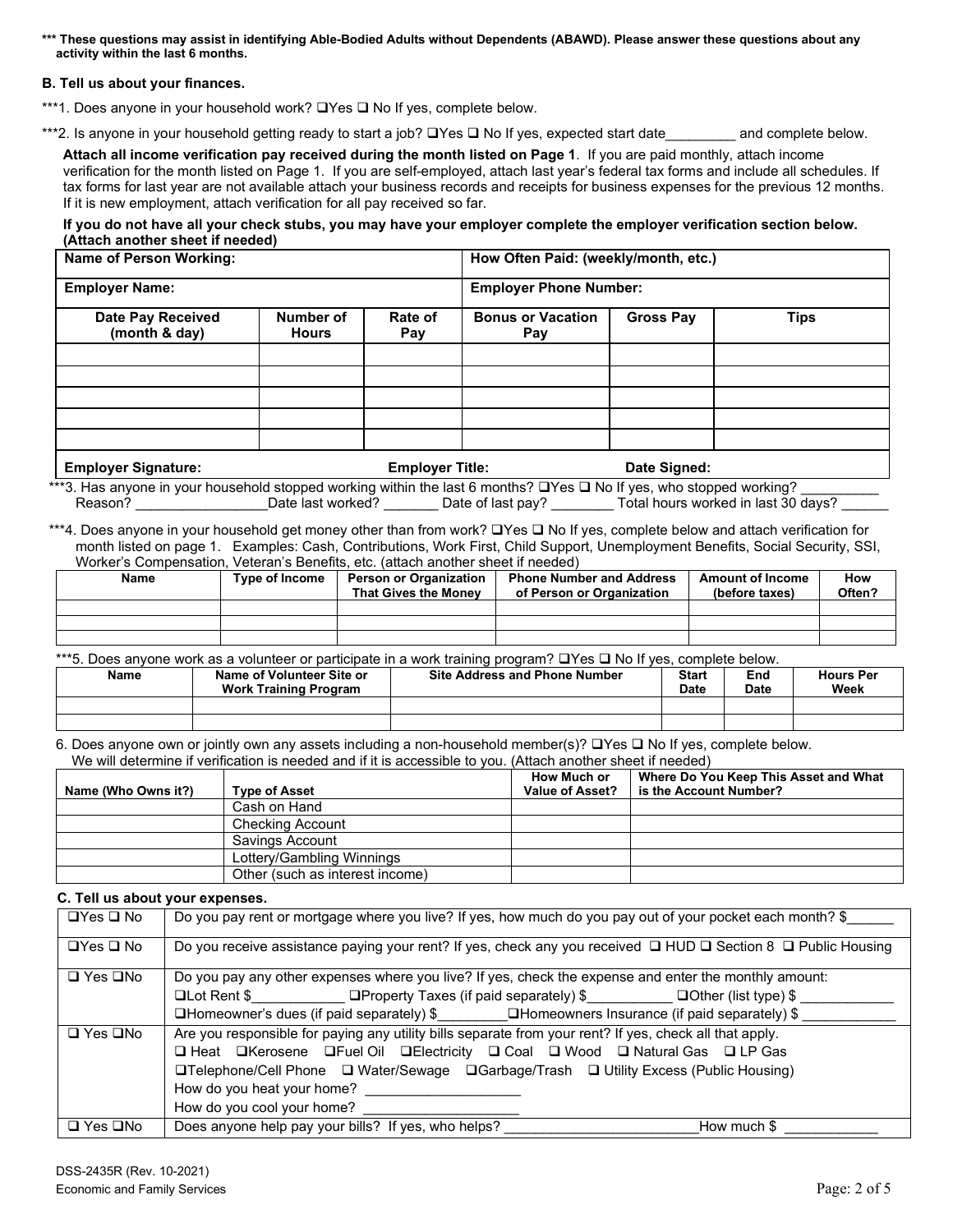**\*\*\* These questions may assist in identifying Able-Bodied Adults without Dependents (ABAWD). Please answer these questions about any activity within the last 6 months.**

### **B. Tell us about your finances.**

\*\*\*1. Does anyone in your household work?  $\Box$  Yes  $\Box$  No If yes, complete below.

\*\*\*2. Is anyone in your household getting ready to start a job? UYes U No If yes, expected start date\_\_\_\_\_\_\_\_ and complete below.

**Attach all income verification pay received during the month listed on Page 1**. If you are paid monthly, attach income verification for the month listed on Page 1. If you are self-employed, attach last year's federal tax forms and include all schedules. If tax forms for last year are not available attach your business records and receipts for business expenses for the previous 12 months. If it is new employment, attach verification for all pay received so far.

**If you do not have all your check stubs, you may have your employer complete the employer verification section below. (Attach another sheet if needed)**

| Name of Person Working:            |                                  |                        | How Often Paid: (weekly/month, etc.) |                  |             |  |
|------------------------------------|----------------------------------|------------------------|--------------------------------------|------------------|-------------|--|
| <b>Employer Name:</b>              |                                  |                        | <b>Employer Phone Number:</b>        |                  |             |  |
| Date Pay Received<br>(month & day) | <b>Number of</b><br><b>Hours</b> | Rate of<br>Pay         | <b>Bonus or Vacation</b><br>Pay      | <b>Gross Pay</b> | <b>Tips</b> |  |
|                                    |                                  |                        |                                      |                  |             |  |
|                                    |                                  |                        |                                      |                  |             |  |
|                                    |                                  |                        |                                      |                  |             |  |
|                                    |                                  |                        |                                      |                  |             |  |
|                                    |                                  |                        |                                      |                  |             |  |
| <b>Employer Signature:</b>         |                                  | <b>Employer Title:</b> |                                      | Date Signed:     |             |  |

\*\*\*3. Has anyone in your household stopped working within the last 6 months?  $\Box$ Yes  $\Box$  No If yes, who stopped working? \_\_\_\_\_\_\_\_\_\_ Reason? \_\_\_\_\_\_\_\_\_\_\_\_\_\_\_\_\_\_\_Date last worked? \_\_\_\_\_\_\_\_\_Date of last pay? \_\_\_\_\_\_\_\_\_Total hours worked in last 30 days?

\*\*\*4. Does anyone in your household get money other than from work? UYes U No If yes, complete below and attach verification for month listed on page 1. Examples: Cash, Contributions, Work First, Child Support, Unemployment Benefits, Social Security, SSI, Worker's Compensation, Veteran's Benefits, etc. (attach another sheet if needed)

| <b>Name</b> | <b>Type of Income</b> | <b>Phone Number and Address</b><br><b>Person or Organization</b><br><b>That Gives the Money</b><br>of Person or Organization |  | <b>Amount of Income</b><br>(before taxes) | How<br>Often? |
|-------------|-----------------------|------------------------------------------------------------------------------------------------------------------------------|--|-------------------------------------------|---------------|
|             |                       |                                                                                                                              |  |                                           |               |
|             |                       |                                                                                                                              |  |                                           |               |
|             |                       |                                                                                                                              |  |                                           |               |

\*\*\*5. Does anyone work as a volunteer or participate in a work training program?  $\Box$  Yes  $\Box$  No If yes, complete below.

| Name | Name of Volunteer Site or<br><b>Work Training Program</b> | <b>Site Address and Phone Number</b> | <b>Start</b><br>Date | End<br>Date | <b>Hours Per</b><br>Week |
|------|-----------------------------------------------------------|--------------------------------------|----------------------|-------------|--------------------------|
|      |                                                           |                                      |                      |             |                          |
|      |                                                           |                                      |                      |             |                          |

6. Does anyone own or jointly own any assets including a non-household member(s)?  $\Box$  Yes  $\Box$  No If yes, complete below. We will determine if verification is needed and if it is accessible to you. (Attach another sheet if needed)

|                     |                                 | How Much or     | Where Do You Keep This Asset and What |
|---------------------|---------------------------------|-----------------|---------------------------------------|
| Name (Who Owns it?) | <b>Type of Asset</b>            | Value of Asset? | is the Account Number?                |
|                     | Cash on Hand                    |                 |                                       |
|                     | <b>Checking Account</b>         |                 |                                       |
|                     | Savings Account                 |                 |                                       |
|                     | Lottery/Gambling Winnings       |                 |                                       |
|                     | Other (such as interest income) |                 |                                       |

**C. Tell us about your expenses.**

| $\Box$ Yes $\Box$ No | Do you pay rent or mortgage where you live? If yes, how much do you pay out of your pocket each month? \$     |
|----------------------|---------------------------------------------------------------------------------------------------------------|
| $\Box$ Yes $\Box$ No | Do you receive assistance paying your rent? If yes, check any you received □ HUD □ Section 8 □ Public Housing |
| $\Box$ Yes $\Box$ No | Do you pay any other expenses where you live? If yes, check the expense and enter the monthly amount:         |
|                      | □Lot Rent \$____________________ □Property Taxes (if paid separately) \$____________ □Other (list type) \$    |
|                      | $\Box$ Homeowner's dues (if paid separately) $\$\Box$ Homeowners Insurance (if paid separately) $\$\$         |
| $\Box$ Yes $\Box$ No | Are you responsible for paying any utility bills separate from your rent? If yes, check all that apply.       |
|                      | □ Heat □ Kerosene □ Fuel Oil □ Electricity □ Coal □ Wood □ Natural Gas □ LP Gas                               |
|                      | <b>□Telephone/Cell Phone</b> □ Water/Sewage □ Garbage/Trash □ Utility Excess (Public Housing)                 |
|                      | How do you heat your home?                                                                                    |
|                      | How do you cool your home?                                                                                    |
| $\Box$ Yes $\Box$ No | Does anyone help pay your bills? If yes, who helps?<br>How much \$                                            |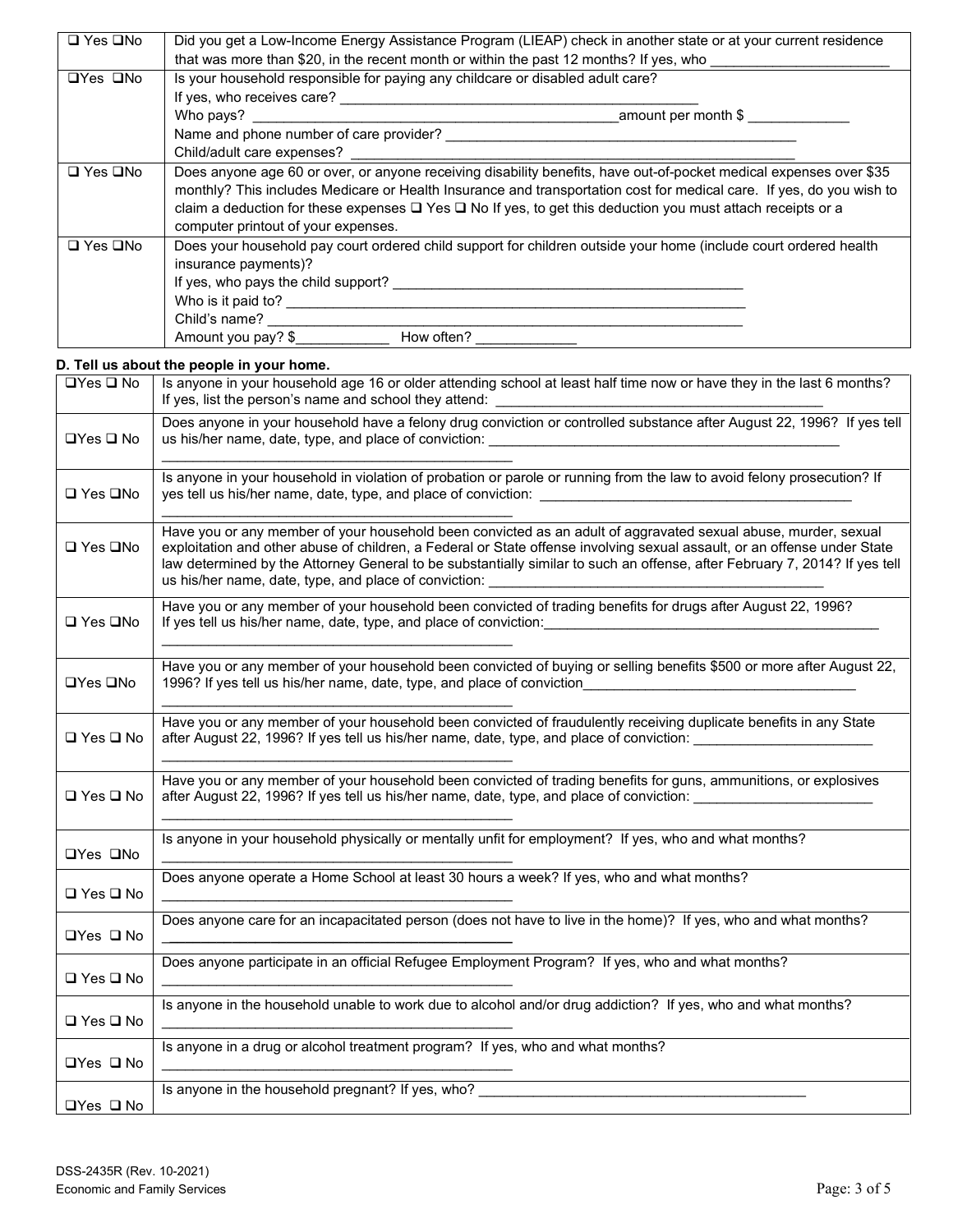| $\Box$ Yes $\Box$ No                                                                                                                             | Did you get a Low-Income Energy Assistance Program (LIEAP) check in another state or at your current residence        |  |  |  |  |  |
|--------------------------------------------------------------------------------------------------------------------------------------------------|-----------------------------------------------------------------------------------------------------------------------|--|--|--|--|--|
|                                                                                                                                                  | that was more than \$20, in the recent month or within the past 12 months? If yes, who                                |  |  |  |  |  |
| $\Box$ Yes $\Box$ No                                                                                                                             | Is your household responsible for paying any childcare or disabled adult care?                                        |  |  |  |  |  |
|                                                                                                                                                  | If yes, who receives care?                                                                                            |  |  |  |  |  |
|                                                                                                                                                  | amount per month \$<br>Who pays?                                                                                      |  |  |  |  |  |
|                                                                                                                                                  | Name and phone number of care provider?                                                                               |  |  |  |  |  |
|                                                                                                                                                  | Child/adult care expenses?                                                                                            |  |  |  |  |  |
| Does anyone age 60 or over, or anyone receiving disability benefits, have out-of-pocket medical expenses over \$35<br>$\square$ Yes $\square$ No |                                                                                                                       |  |  |  |  |  |
|                                                                                                                                                  | monthly? This includes Medicare or Health Insurance and transportation cost for medical care. If yes, do you wish to  |  |  |  |  |  |
|                                                                                                                                                  | claim a deduction for these expenses $\Box$ Yes $\Box$ No If yes, to get this deduction you must attach receipts or a |  |  |  |  |  |
|                                                                                                                                                  | computer printout of your expenses.                                                                                   |  |  |  |  |  |
| $\square$ Yes $\square$ No                                                                                                                       | Does your household pay court ordered child support for children outside your home (include court ordered health      |  |  |  |  |  |
|                                                                                                                                                  | insurance payments)?                                                                                                  |  |  |  |  |  |
|                                                                                                                                                  | If yes, who pays the child support?                                                                                   |  |  |  |  |  |
| Who is it paid to?                                                                                                                               |                                                                                                                       |  |  |  |  |  |
|                                                                                                                                                  | Child's name?                                                                                                         |  |  |  |  |  |
|                                                                                                                                                  | How often?<br>Amount you pay? \$                                                                                      |  |  |  |  |  |

## **D. Tell us about the people in your home.**

| □Yes □ No            | Is anyone in your household age 16 or older attending school at least half time now or have they in the last 6 months?<br>If yes, list the person's name and school they attend:                                                                                                                                                                                                                                                    |
|----------------------|-------------------------------------------------------------------------------------------------------------------------------------------------------------------------------------------------------------------------------------------------------------------------------------------------------------------------------------------------------------------------------------------------------------------------------------|
| <b>□Yes □ No</b>     | Does anyone in your household have a felony drug conviction or controlled substance after August 22, 1996? If yes tell<br>us his/her name, date, type, and place of conviction: __________________________                                                                                                                                                                                                                          |
| □ Yes □No            | Is anyone in your household in violation of probation or parole or running from the law to avoid felony prosecution? If                                                                                                                                                                                                                                                                                                             |
| □ Yes □No            | Have you or any member of your household been convicted as an adult of aggravated sexual abuse, murder, sexual<br>exploitation and other abuse of children, a Federal or State offense involving sexual assault, or an offense under State<br>law determined by the Attorney General to be substantially similar to such an offense, after February 7, 2014? If yes tell<br>us his/her name, date, type, and place of conviction: _ |
| □ Yes □No            | Have you or any member of your household been convicted of trading benefits for drugs after August 22, 1996?<br>If yes tell us his/her name, date, type, and place of conviction:                                                                                                                                                                                                                                                   |
| <b>OYes QNo</b>      | Have you or any member of your household been convicted of buying or selling benefits \$500 or more after August 22,<br>1996? If yes tell us his/her name, date, type, and place of conviction                                                                                                                                                                                                                                      |
| □ Yes □ No           | Have you or any member of your household been convicted of fraudulently receiving duplicate benefits in any State<br>after August 22, 1996? If yes tell us his/her name, date, type, and place of conviction:                                                                                                                                                                                                                       |
| $\Box$ Yes $\Box$ No | Have you or any member of your household been convicted of trading benefits for guns, ammunitions, or explosives<br>after August 22, 1996? If yes tell us his/her name, date, type, and place of conviction:                                                                                                                                                                                                                        |
| <b>OYes QNo</b>      | Is anyone in your household physically or mentally unfit for employment? If yes, who and what months?                                                                                                                                                                                                                                                                                                                               |
| □ Yes □ No           | Does anyone operate a Home School at least 30 hours a week? If yes, who and what months?                                                                                                                                                                                                                                                                                                                                            |
| $\Box$ Yes $\Box$ No | Does anyone care for an incapacitated person (does not have to live in the home)? If yes, who and what months?                                                                                                                                                                                                                                                                                                                      |
| $\Box$ Yes $\Box$ No | Does anyone participate in an official Refugee Employment Program? If yes, who and what months?                                                                                                                                                                                                                                                                                                                                     |
| □ Yes □ No           | Is anyone in the household unable to work due to alcohol and/or drug addiction? If yes, who and what months?                                                                                                                                                                                                                                                                                                                        |
| $\Box$ Yes $\Box$ No | Is anyone in a drug or alcohol treatment program? If yes, who and what months?                                                                                                                                                                                                                                                                                                                                                      |
| $\Box$ Yes $\Box$ No | Is anyone in the household pregnant? If yes, who?                                                                                                                                                                                                                                                                                                                                                                                   |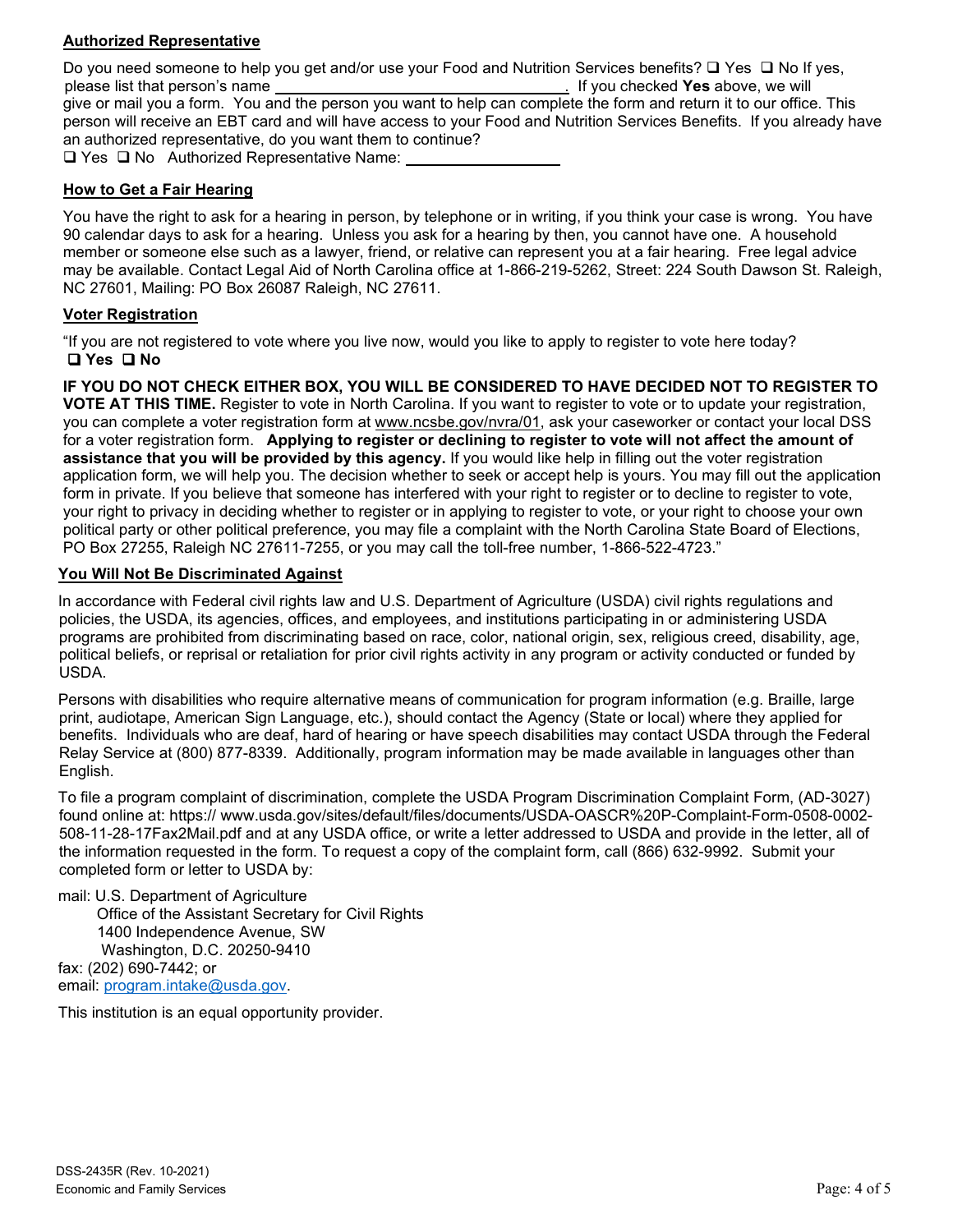# **Authorized Representative**

Do you need someone to help you get and/or use your Food and Nutrition Services benefits?  $\Box$  Yes  $\Box$  No If yes, please list that person's name . If you checked **Yes** above, we will give or mail you a form. You and the person you want to help can complete the form and return it to our office. This person will receive an EBT card and will have access to your Food and Nutrition Services Benefits. If you already have an authorized representative, do you want them to continue?  $\Box$  Yes  $\Box$  No Authorized Representative Name:

# **How to Get a Fair Hearing**

You have the right to ask for a hearing in person, by telephone or in writing, if you think your case is wrong. You have 90 calendar days to ask for a hearing. Unless you ask for a hearing by then, you cannot have one. A household member or someone else such as a lawyer, friend, or relative can represent you at a fair hearing. Free legal advice may be available. Contact Legal Aid of North Carolina office at 1-866-219-5262, Street: 224 South Dawson St. Raleigh, NC 27601, Mailing: PO Box 26087 Raleigh, NC 27611.

# **Voter Registration**

"If you are not registered to vote where you live now, would you like to apply to register to vote here today? **Yes No**

**IF YOU DO NOT CHECK EITHER BOX, YOU WILL BE CONSIDERED TO HAVE DECIDED NOT TO REGISTER TO VOTE AT THIS TIME.** Register to vote in North Carolina. If you want to register to vote or to update your registration, you can complete a voter registration form at [www.ncsbe.gov/n](http://www.ncsbe.gov/)vra/01, ask your caseworker or contact your local DSS for a voter registration form. **Applying to register or declining to register to vote will not affect the amount of assistance that you will be provided by this agency.** If you would like help in filling out the voter registration application form, we will help you. The decision whether to seek or accept help is yours. You may fill out the application form in private. If you believe that someone has interfered with your right to register or to decline to register to vote, your right to privacy in deciding whether to register or in applying to register to vote, or your right to choose your own political party or other political preference, you may file a complaint with the North Carolina State Board of Elections, PO Box 27255, Raleigh NC 27611-7255, or you may call the toll-free number, 1-866-522-4723."

## **You Will Not Be Discriminated Against**

In accordance with Federal civil rights law and U.S. Department of Agriculture (USDA) civil rights regulations and policies, the USDA, its agencies, offices, and employees, and institutions participating in or administering USDA programs are prohibited from discriminating based on race, color, national origin, sex, religious creed, disability, age, political beliefs, or reprisal or retaliation for prior civil rights activity in any program or activity conducted or funded by USDA.

Persons with disabilities who require alternative means of communication for program information (e.g. Braille, large print, audiotape, American Sign Language, etc.), should contact the Agency (State or local) where they applied for benefits. Individuals who are deaf, hard of hearing or have speech disabilities may contact USDA through the Federal Relay Service at (800) 877-8339. Additionally, program information may be made available in languages other than English.

To file a program complaint of discrimination, complete the USDA Program Discrimination Complaint Form, (AD-3027) found online at: https:// www.usda.gov/sites/default/files/documents/USDA-OASCR%20P-Complaint-Form-0508-0002- 508-11-28-17Fax2Mail.pdf and at any USDA office, or write a letter addressed to USDA and provide in the letter, all of the information requested in the form. To request a copy of the complaint form, call (866) 632-9992. Submit your completed form or letter to USDA by:

mail: U.S. Department of Agriculture Office of the Assistant Secretary for Civil Rights 1400 Independence Avenue, SW Washington, D.C. 20250-9410 fax: (202) 690-7442; or email: [program.intake@usda.gov.](mailto:program.intake@usda.gov)

This institution is an equal opportunity provider.